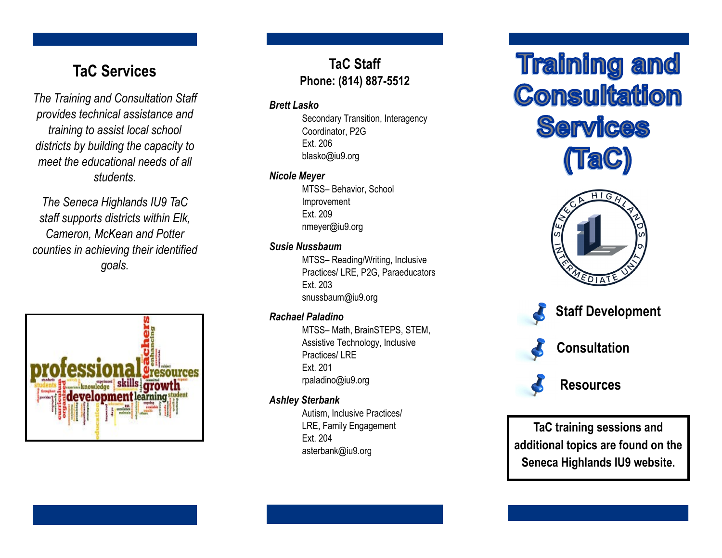# **TaC Services**

*The Training and Consultation Staff provides technical assistance and training to assist local school districts by building the capacity to meet the educational needs of all students.*

*The Seneca Highlands IU9 TaC staff supports districts within Elk, Cameron, McKean and Potter counties in achieving their identified goals.*



# **TaC Staff Phone: (814) 887 -5512**

## *Brett Lasko*

Secondary Transition, Interagency Coordinator, P2G Ext. 206 blasko@iu9.org

## *Nicole Meyer*

MTSS – Behavior, School Improvement Ext. 209 nmeyer@iu9.org

# *Susie Nussbaum*

MTSS – Reading/Writing, Inclusive Practices/ LRE, P2G, Paraeducators Ext. 203 snussbaum@iu9.org

# *Rachael Paladino*

MTSS – Math, BrainSTEPS, STEM, Assistive Technology, Inclusive Practices/ LRE Ext. 201 rpaladino@iu9.org

# *Ashley Sterbank*

Autism, Inclusive Practices/ LRE, Family Engagement Ext. 204 asterbank@iu9.org

# **Training and Consultation Services**







 **Consultation**



 **Resources**

**TaC training sessions and additional topics are found on the Seneca Highlands IU9 website.**